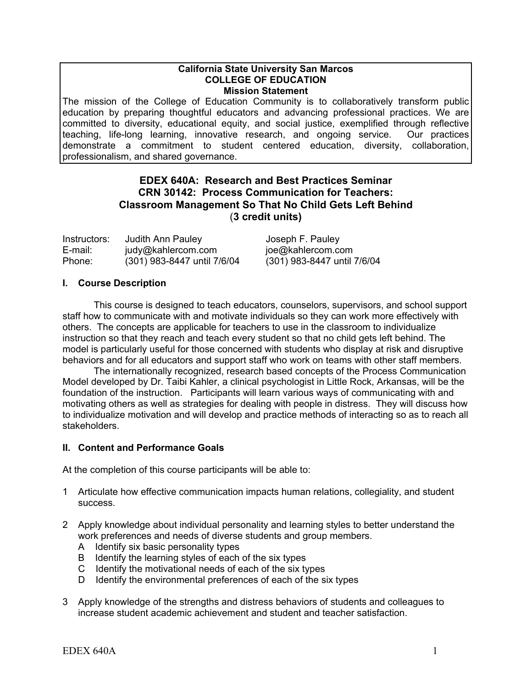#### **California State University San Marcos COLLEGE OF EDUCATION Mission Statement**

The mission of the College of Education Community is to collaboratively transform public education by preparing thoughtful educators and advancing professional practices. We are committed to diversity, educational equity, and social justice, exemplified through reflective teaching, life-long learning, innovative research, and ongoing service. Our practices demonstrate a commitment to student centered education, diversity, collaboration, professionalism, and shared governance.

## **EDEX 640A: Research and Best Practices Seminar CRN 30142: Process Communication for Teachers: Classroom Management So That No Child Gets Left Behind** (**3 credit units)**

| Instructors: | Judith Ann Pauley           | Joseph F. Pauley            |
|--------------|-----------------------------|-----------------------------|
| E-mail:      | judy@kahlercom.com          | joe@kahlercom.com           |
| Phone:       | (301) 983-8447 until 7/6/04 | (301) 983-8447 until 7/6/04 |

## **I. Course Description**

This course is designed to teach educators, counselors, supervisors, and school support staff how to communicate with and motivate individuals so they can work more effectively with others. The concepts are applicable for teachers to use in the classroom to individualize instruction so that they reach and teach every student so that no child gets left behind. The model is particularly useful for those concerned with students who display at risk and disruptive behaviors and for all educators and support staff who work on teams with other staff members.

The internationally recognized, research based concepts of the Process Communication Model developed by Dr. Taibi Kahler, a clinical psychologist in Little Rock, Arkansas, will be the foundation of the instruction. Participants will learn various ways of communicating with and motivating others as well as strategies for dealing with people in distress. They will discuss how to individualize motivation and will develop and practice methods of interacting so as to reach all stakeholders.

## **II. Content and Performance Goals**

At the completion of this course participants will be able to:

- 1 Articulate how effective communication impacts human relations, collegiality, and student success.
- 2 Apply knowledge about individual personality and learning styles to better understand the work preferences and needs of diverse students and group members.
	- A Identify six basic personality types
	- B Identify the learning styles of each of the six types
	- C Identify the motivational needs of each of the six types
	- D Identify the environmental preferences of each of the six types
- 3 Apply knowledge of the strengths and distress behaviors of students and colleagues to increase student academic achievement and student and teacher satisfaction.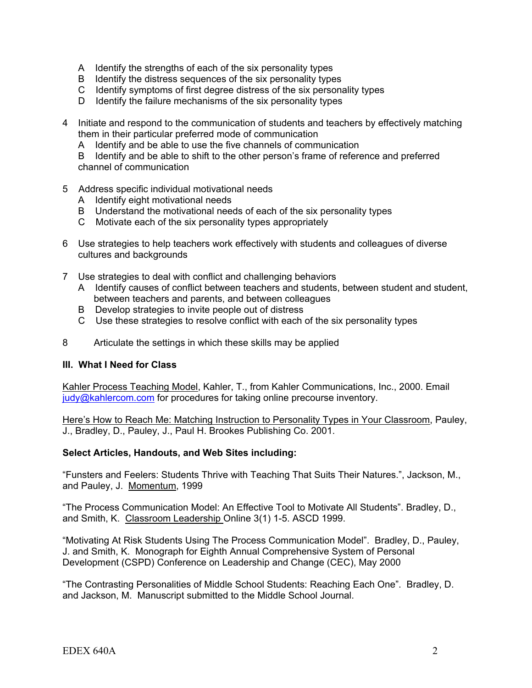- A Identify the strengths of each of the six personality types
- B Identify the distress sequences of the six personality types
- C Identify symptoms of first degree distress of the six personality types
- D Identify the failure mechanisms of the six personality types
- 4 Initiate and respond to the communication of students and teachers by effectively matching them in their particular preferred mode of communication
	- A Identify and be able to use the five channels of communication

 B Identify and be able to shift to the other person's frame of reference and preferred channel of communication

- 5 Address specific individual motivational needs
	- A Identify eight motivational needs
	- B Understand the motivational needs of each of the six personality types
	- C Motivate each of the six personality types appropriately
- 6 Use strategies to help teachers work effectively with students and colleagues of diverse cultures and backgrounds
- 7 Use strategies to deal with conflict and challenging behaviors
	- A Identify causes of conflict between teachers and students, between student and student, between teachers and parents, and between colleagues
	- B Develop strategies to invite people out of distress
	- C Use these strategies to resolve conflict with each of the six personality types
- 8 Articulate the settings in which these skills may be applied

#### **III. What I Need for Class**

Kahler Process Teaching Model, Kahler, T., from Kahler Communications, Inc., 2000. Email judy@kahlercom.com for procedures for taking online precourse inventory.

Here's How to Reach Me: Matching Instruction to Personality Types in Your Classroom, Pauley, J., Bradley, D., Pauley, J., Paul H. Brookes Publishing Co. 2001.

#### **Select Articles, Handouts, and Web Sites including:**

"Funsters and Feelers: Students Thrive with Teaching That Suits Their Natures.", Jackson, M., and Pauley, J. Momentum, 1999

"The Process Communication Model: An Effective Tool to Motivate All Students". Bradley, D., and Smith, K. Classroom Leadership Online 3(1) 1-5. ASCD 1999.

"Motivating At Risk Students Using The Process Communication Model". Bradley, D., Pauley, J. and Smith, K. Monograph for Eighth Annual Comprehensive System of Personal Development (CSPD) Conference on Leadership and Change (CEC), May 2000

"The Contrasting Personalities of Middle School Students: Reaching Each One". Bradley, D. and Jackson, M. Manuscript submitted to the Middle School Journal.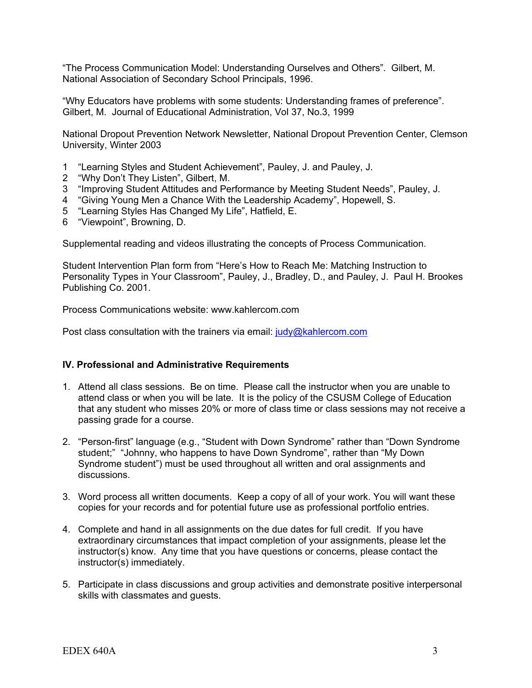"The Process Communication Model: Understanding Ourselves and Others". Gilbert, M. National Association of Secondary School Principals, 1996.

"Why Educators have problems with some students: Understanding frames of preference". Gilbert, M. Journal of Educational Administration, Vol 37, No.3, 1999

National Dropout Prevention Network Newsletter, National Dropout Prevention Center, Clemson University, Winter 2003

- 1 "Learning Styles and Student Achievement", Pauley, J. and Pauley, J.
- 2 "Why Don't They Listen", Gilbert, M.
- 3 "Improving Student Attitudes and Performance by Meeting Student Needs", Pauley, J.
- 4 "Giving Young Men a Chance With the Leadership Academy", Hopewell, S.
- 5 "Learning Styles Has Changed My Life", Hatfield, E.
- 6 "Viewpoint", Browning, D.

Supplemental reading and videos illustrating the concepts of Process Communication.

Student Intervention Plan form from "Here's How to Reach Me: Matching Instruction to Personality Types in Your Classroom", Pauley, J., Bradley, D., and Pauley, J. Paul H. Brookes Publishing Co. 2001.

Process Communications website: www.kahlercom.com

Post class consultation with the trainers via email: judy@kahlercom.com

## **IV. Professional and Administrative Requirements**

- 1. Attend all class sessions. Be on time. Please call the instructor when you are unable to attend class or when you will be late. It is the policy of the CSUSM College of Education that any student who misses 20% or more of class time or class sessions may not receive a passing grade for a course.
- 2. "Person-first" language (e.g., "Student with Down Syndrome" rather than "Down Syndrome student;" "Johnny, who happens to have Down Syndrome", rather than "My Down Syndrome student") must be used throughout all written and oral assignments and discussions.
- 3. Word process all written documents. Keep a copy of all of your work. You will want these copies for your records and for potential future use as professional portfolio entries.
- 4. Complete and hand in all assignments on the due dates for full credit. If you have extraordinary circumstances that impact completion of your assignments, please let the instructor(s) know. Any time that you have questions or concerns, please contact the instructor(s) immediately.
- 5. Participate in class discussions and group activities and demonstrate positive interpersonal skills with classmates and guests.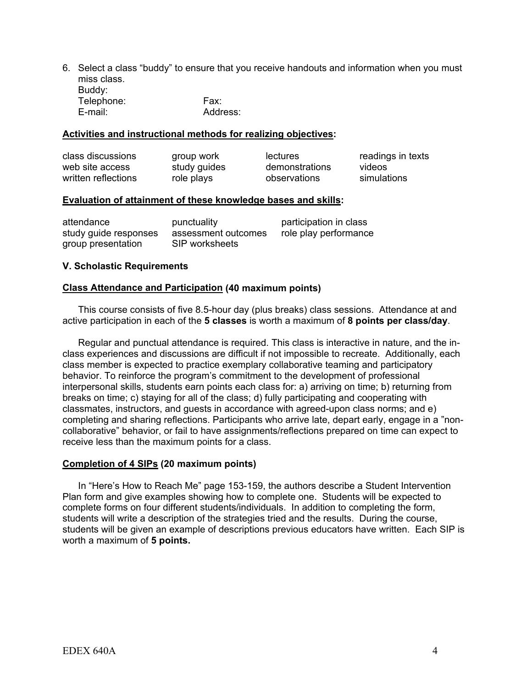6. Select a class "buddy" to ensure that you receive handouts and information when you must miss class. Buddy: Telephone: Fax: E-mail: Address:

#### **Activities and instructional methods for realizing objectives:**

| class discussions   | group work   | lectures       | readings in texts |
|---------------------|--------------|----------------|-------------------|
| web site access     | study guides | demonstrations | videos            |
| written reflections | role plays   | observations   | simulations       |

#### **Evaluation of attainment of these knowledge bases and skills:**

| attendance            | punctuality         | participation in class |
|-----------------------|---------------------|------------------------|
| study guide responses | assessment outcomes | role play performance  |
| group presentation    | SIP worksheets      |                        |

#### **V. Scholastic Requirements**

#### **Class Attendance and Participation (40 maximum points)**

This course consists of five 8.5-hour day (plus breaks) class sessions. Attendance at and active participation in each of the **5 classes** is worth a maximum of **8 points per class/day**.

 Regular and punctual attendance is required. This class is interactive in nature, and the inclass experiences and discussions are difficult if not impossible to recreate. Additionally, each class member is expected to practice exemplary collaborative teaming and participatory behavior. To reinforce the program's commitment to the development of professional interpersonal skills, students earn points each class for: a) arriving on time; b) returning from breaks on time; c) staying for all of the class; d) fully participating and cooperating with classmates, instructors, and guests in accordance with agreed-upon class norms; and e) completing and sharing reflections. Participants who arrive late, depart early, engage in a "noncollaborative" behavior, or fail to have assignments/reflections prepared on time can expect to receive less than the maximum points for a class.

#### **Completion of 4 SIPs (20 maximum points)**

In "Here's How to Reach Me" page 153-159, the authors describe a Student Intervention Plan form and give examples showing how to complete one. Students will be expected to complete forms on four different students/individuals. In addition to completing the form, students will write a description of the strategies tried and the results. During the course, students will be given an example of descriptions previous educators have written. Each SIP is worth a maximum of **5 points.**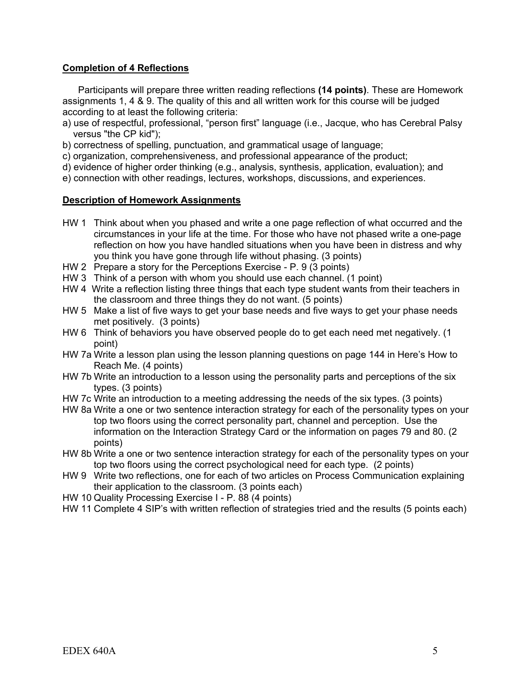## **Completion of 4 Reflections**

Participants will prepare three written reading reflections **(14 points)**. These are Homework assignments 1, 4 & 9. The quality of this and all written work for this course will be judged according to at least the following criteria:

- a) use of respectful, professional, "person first" language (i.e., Jacque, who has Cerebral Palsy versus "the CP kid");
- b) correctness of spelling, punctuation, and grammatical usage of language;
- c) organization, comprehensiveness, and professional appearance of the product;
- d) evidence of higher order thinking (e.g., analysis, synthesis, application, evaluation); and
- e) connection with other readings, lectures, workshops, discussions, and experiences.

## **Description of Homework Assignments**

- HW 1 Think about when you phased and write a one page reflection of what occurred and the circumstances in your life at the time. For those who have not phased write a one-page reflection on how you have handled situations when you have been in distress and why you think you have gone through life without phasing. (3 points)
- HW 2 Prepare a story for the Perceptions Exercise P. 9 (3 points)
- HW 3 Think of a person with whom you should use each channel. (1 point)
- HW 4 Write a reflection listing three things that each type student wants from their teachers in the classroom and three things they do not want. (5 points)
- HW 5 Make a list of five ways to get your base needs and five ways to get your phase needs met positively. (3 points)
- HW 6 Think of behaviors you have observed people do to get each need met negatively. (1 point)
- HW 7a Write a lesson plan using the lesson planning questions on page 144 in Here's How to Reach Me. (4 points)
- HW 7b Write an introduction to a lesson using the personality parts and perceptions of the six types. (3 points)
- HW 7c Write an introduction to a meeting addressing the needs of the six types. (3 points)
- HW 8a Write a one or two sentence interaction strategy for each of the personality types on your top two floors using the correct personality part, channel and perception. Use the information on the Interaction Strategy Card or the information on pages 79 and 80. (2 points)
- HW 8b Write a one or two sentence interaction strategy for each of the personality types on your top two floors using the correct psychological need for each type. (2 points)
- HW 9 Write two reflections, one for each of two articles on Process Communication explaining their application to the classroom. (3 points each)
- HW 10 Quality Processing Exercise I P. 88 (4 points)
- HW 11 Complete 4 SIP's with written reflection of strategies tried and the results (5 points each)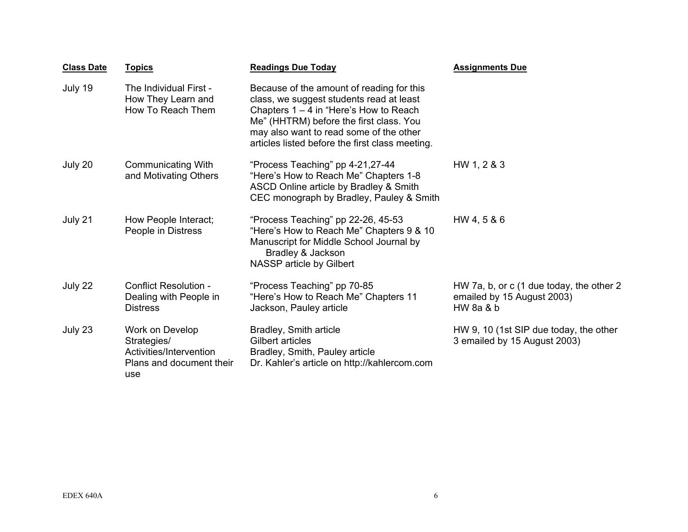| <b>Class Date</b> | <b>Topics</b>                                                                                | <b>Readings Due Today</b>                                                                                                                                                                                                                                                  | <b>Assignments Due</b>                                                             |
|-------------------|----------------------------------------------------------------------------------------------|----------------------------------------------------------------------------------------------------------------------------------------------------------------------------------------------------------------------------------------------------------------------------|------------------------------------------------------------------------------------|
| July 19           | The Individual First -<br>How They Learn and<br>How To Reach Them                            | Because of the amount of reading for this<br>class, we suggest students read at least<br>Chapters $1 - 4$ in "Here's How to Reach<br>Me" (HHTRM) before the first class. You<br>may also want to read some of the other<br>articles listed before the first class meeting. |                                                                                    |
| July 20           | <b>Communicating With</b><br>and Motivating Others                                           | "Process Teaching" pp 4-21,27-44<br>"Here's How to Reach Me" Chapters 1-8<br>ASCD Online article by Bradley & Smith<br>CEC monograph by Bradley, Pauley & Smith                                                                                                            | HW 1, 2 & 3                                                                        |
| July 21           | How People Interact;<br>People in Distress                                                   | "Process Teaching" pp 22-26, 45-53<br>"Here's How to Reach Me" Chapters 9 & 10<br>Manuscript for Middle School Journal by<br>Bradley & Jackson<br>NASSP article by Gilbert                                                                                                 | HW 4, 5 & 6                                                                        |
| July 22           | <b>Conflict Resolution -</b><br>Dealing with People in<br><b>Distress</b>                    | "Process Teaching" pp 70-85<br>"Here's How to Reach Me" Chapters 11<br>Jackson, Pauley article                                                                                                                                                                             | HW 7a, b, or c (1 due today, the other 2<br>emailed by 15 August 2003)<br>HW 8a 8b |
| July 23           | Work on Develop<br>Strategies/<br>Activities/Intervention<br>Plans and document their<br>use | Bradley, Smith article<br>Gilbert articles<br>Bradley, Smith, Pauley article<br>Dr. Kahler's article on http://kahlercom.com                                                                                                                                               | HW 9, 10 (1st SIP due today, the other<br>3 emailed by 15 August 2003)             |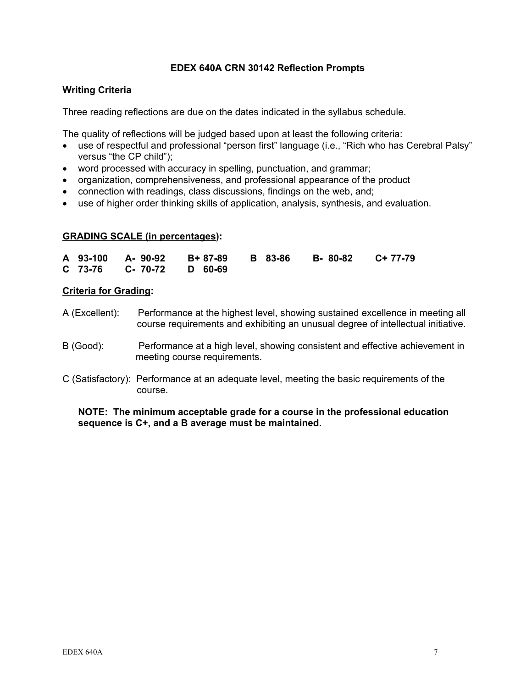## **EDEX 640A CRN 30142 Reflection Prompts**

## **Writing Criteria**

Three reading reflections are due on the dates indicated in the syllabus schedule.

The quality of reflections will be judged based upon at least the following criteria:

- use of respectful and professional "person first" language (i.e., "Rich who has Cerebral Palsy" versus "the CP child");
- word processed with accuracy in spelling, punctuation, and grammar;
- organization, comprehensiveness, and professional appearance of the product
- connection with readings, class discussions, findings on the web, and;
- use of higher order thinking skills of application, analysis, synthesis, and evaluation.

## **GRADING SCALE (in percentages):**

|  |                          |  | A 93-100 A-90-92 B+87-89 B 83-86 B-80-82 C+77-79 |  |
|--|--------------------------|--|--------------------------------------------------|--|
|  | C 73-76 C- 70-72 D 60-69 |  |                                                  |  |

#### **Criteria for Grading:**

- A (Excellent): Performance at the highest level, showing sustained excellence in meeting all course requirements and exhibiting an unusual degree of intellectual initiative.
- B (Good): Performance at a high level, showing consistent and effective achievement in meeting course requirements.
- C (Satisfactory): Performance at an adequate level, meeting the basic requirements of the course.

## **NOTE: The minimum acceptable grade for a course in the professional education sequence is C+, and a B average must be maintained.**